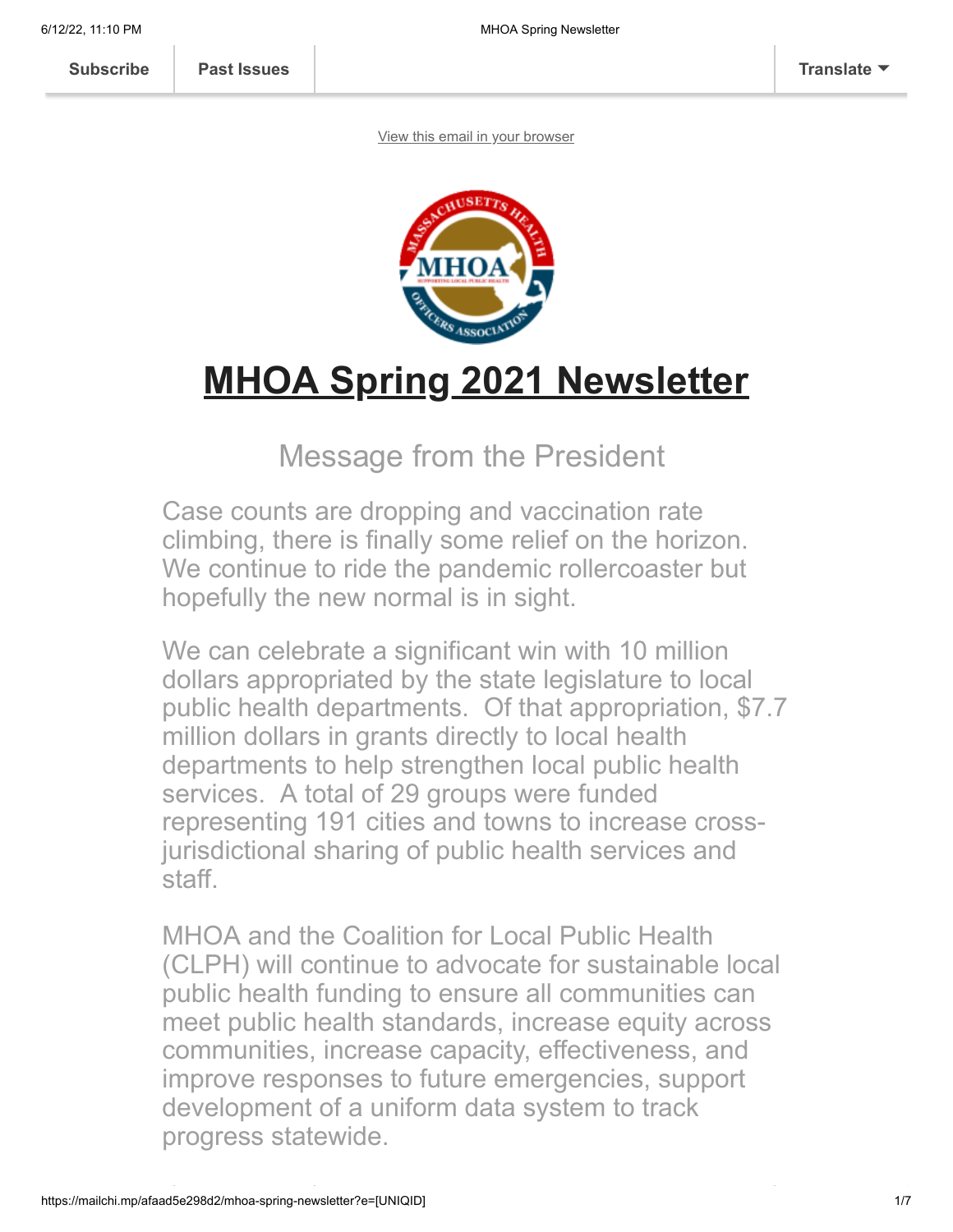**[Subscribe](http://eepurl.com/djcbLb) [Past Issues](https://us3.campaign-archive.com/home/?u=a1b0f89bb03fdc185f0b23f1a&id=df77b89c12) [Translate](javascript:;)**

[View this email in your browser](https://mailchi.mp/afaad5e298d2/mhoa-spring-newsletter?e=[UNIQID])



# **MHOA Spring 2021 Newsletter**

#### Message from the President

Case counts are dropping and vaccination rate climbing, there is finally some relief on the horizon. We continue to ride the pandemic rollercoaster but hopefully the new normal is in sight.

We can celebrate a significant win with 10 million dollars appropriated by the state legislature to local public health departments. Of that appropriation, \$7.7 million dollars in grants directly to local health departments to help strengthen local public health services. A total of 29 groups were funded representing 191 cities and towns to increase crossjurisdictional sharing of public health services and staff.

MHOA and the Coalition for Local Public Health (CLPH) will continue to advocate for sustainable local public health funding to ensure all communities can meet public health standards, increase equity across communities, increase capacity, effectiveness, and improve responses to future emergencies, support development of a uniform data system to track progress statewide.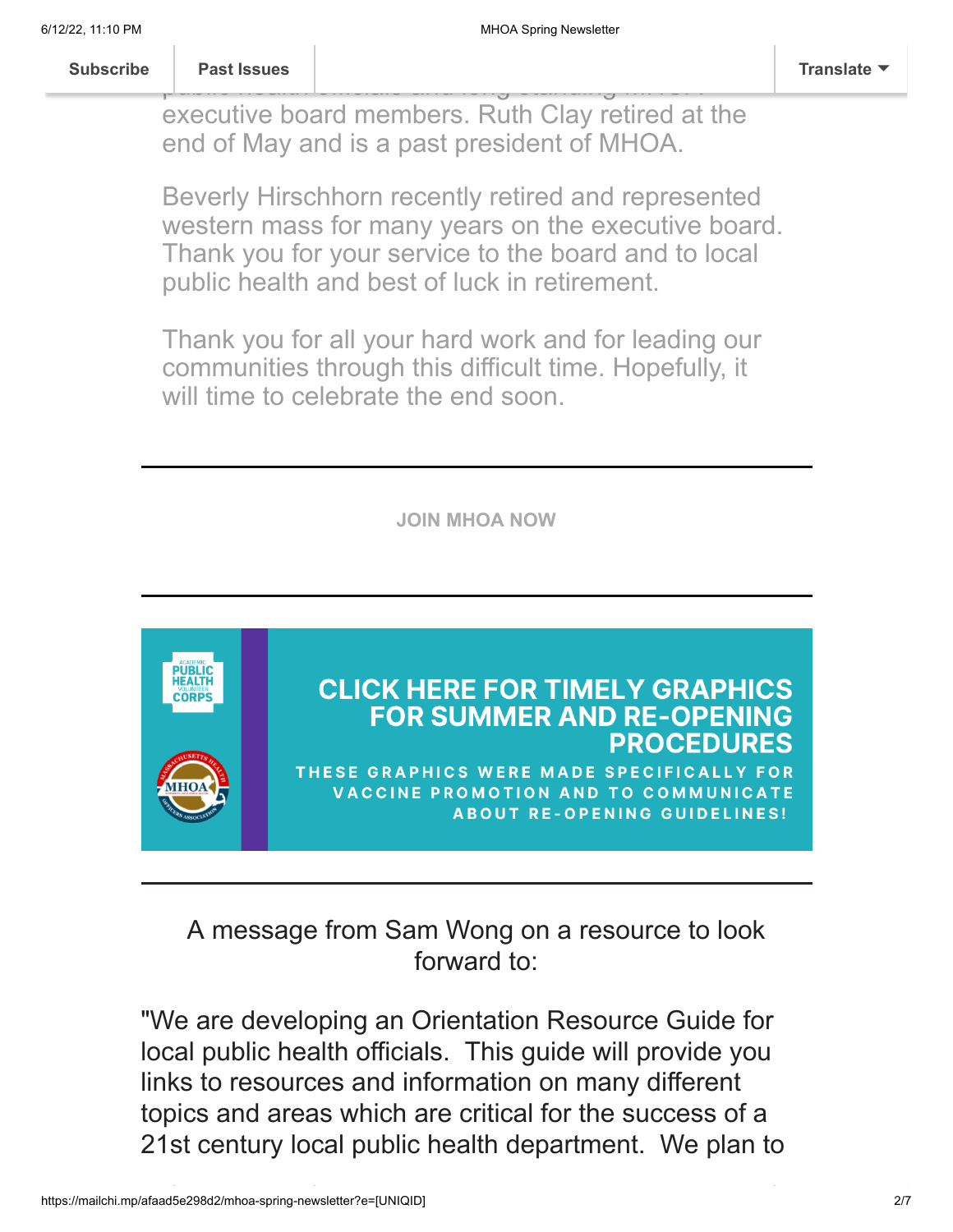**I** would like the recognize and that the recognize and that the recognize and that the recognize  $\frac{1}{2}$ **[Subscribe](http://eepurl.com/djcbLb) Past Issues [Translate](javascript:;)**

public health officials and long standing measures and long standing  $\mathcal{L}_{\text{max}}$ executive board members. Ruth Clay retired at the end of May and is a past president of MHOA.

Beverly Hirschhorn recently retired and represented western mass for many years on the executive board. Thank you for your service to the board and to local public health and best of luck in retirement.

Thank you for all your hard work and for leading our communities through this difficult time. Hopefully, it will time to celebrate the end soon.

**[JOIN MHOA NOW](https://mhoa.com/mhoa-online-application/)**



A message from Sam Wong on a resource to look forward to:

"We are developing an Orientation Resource Guide for local public health officials. This guide will provide you links to resources and information on many different topics and areas which are critical for the success of a 21st century local public health department. We plan to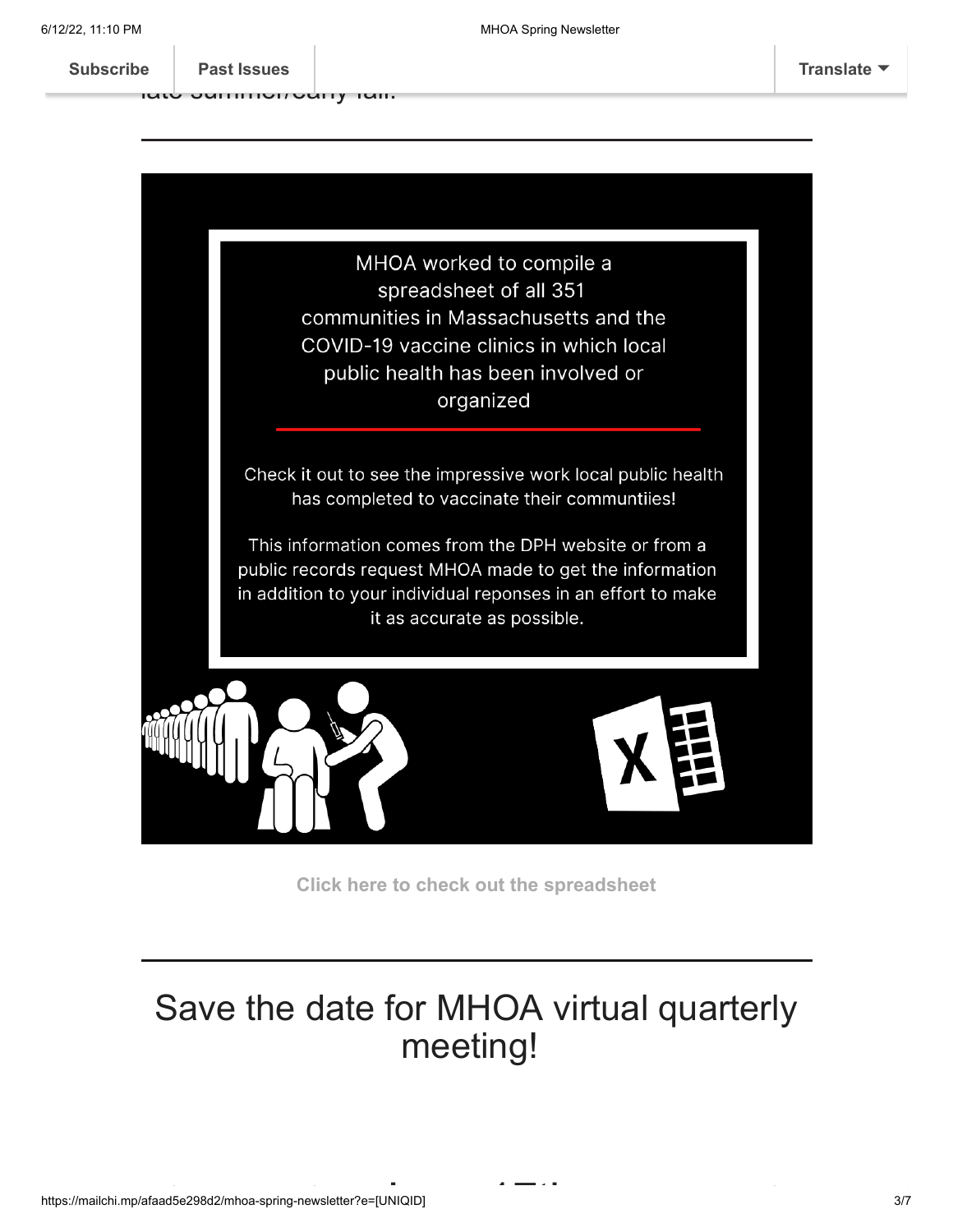or[ganize a web](https://us3.campaign-archive.com/home/?u=a1b0f89bb03fdc185f0b23f1a&id=df77b89c12)site a website a website the some time introduce the some time introduce the some time internal or<br>A website some time internal or the some time internal or the some time internal or the some time internal or **[Subscribe](http://eepurl.com/djcbLb) Past Issues [Translate](javascript:;)**

late summer/early fall."



**[Click here to check out the spreadsheet](https://mhoa.com/lboh-vaccine-initiative-info/)**

### Save the date for MHOA virtual quarterly meeting!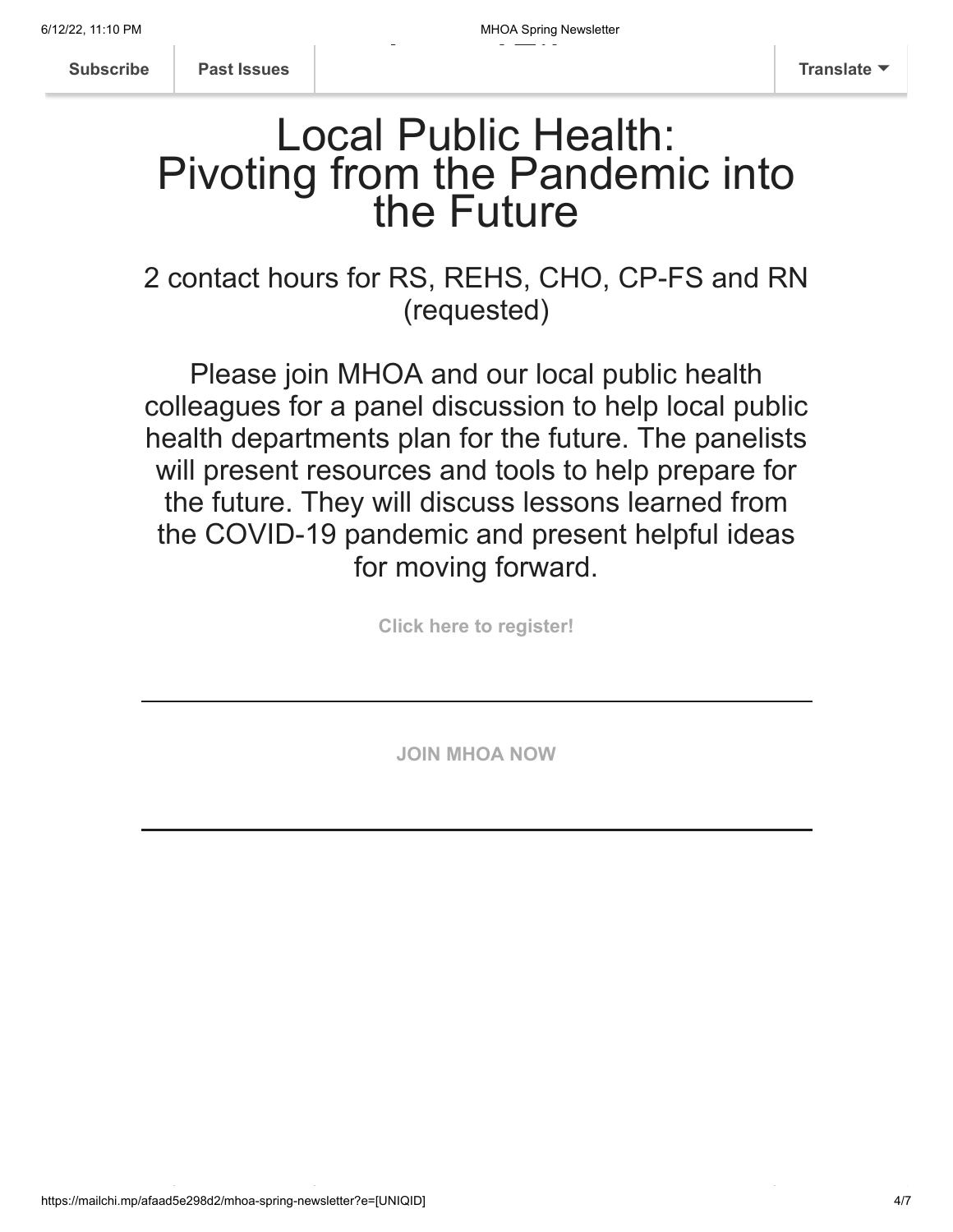**[Subscribe](http://eepurl.com/djcbLb) [Past Issues](https://us3.campaign-archive.com/home/?u=a1b0f89bb03fdc185f0b23f1a&id=df77b89c12) [Translate](javascript:;)**

## Local Public Health: Pivoting from the Pandemic into the Future

2 contact hours for RS, REHS, CHO, CP-FS and RN (requested)

Please join MHOA and our local public health colleagues for a panel discussion to help local public health departments plan for the future. The panelists will present resources and tools to help prepare for the future. They will discuss lessons learned from the COVID-19 pandemic and present helpful ideas for moving forward.

**[Click here to register!](https://us02web.zoom.us/webinar/register/WN_LbRdXqIoSlqyXaeur6pGag)**

**[JOIN MHOA NOW](https://mhoa.com/mhoa-online-application/)**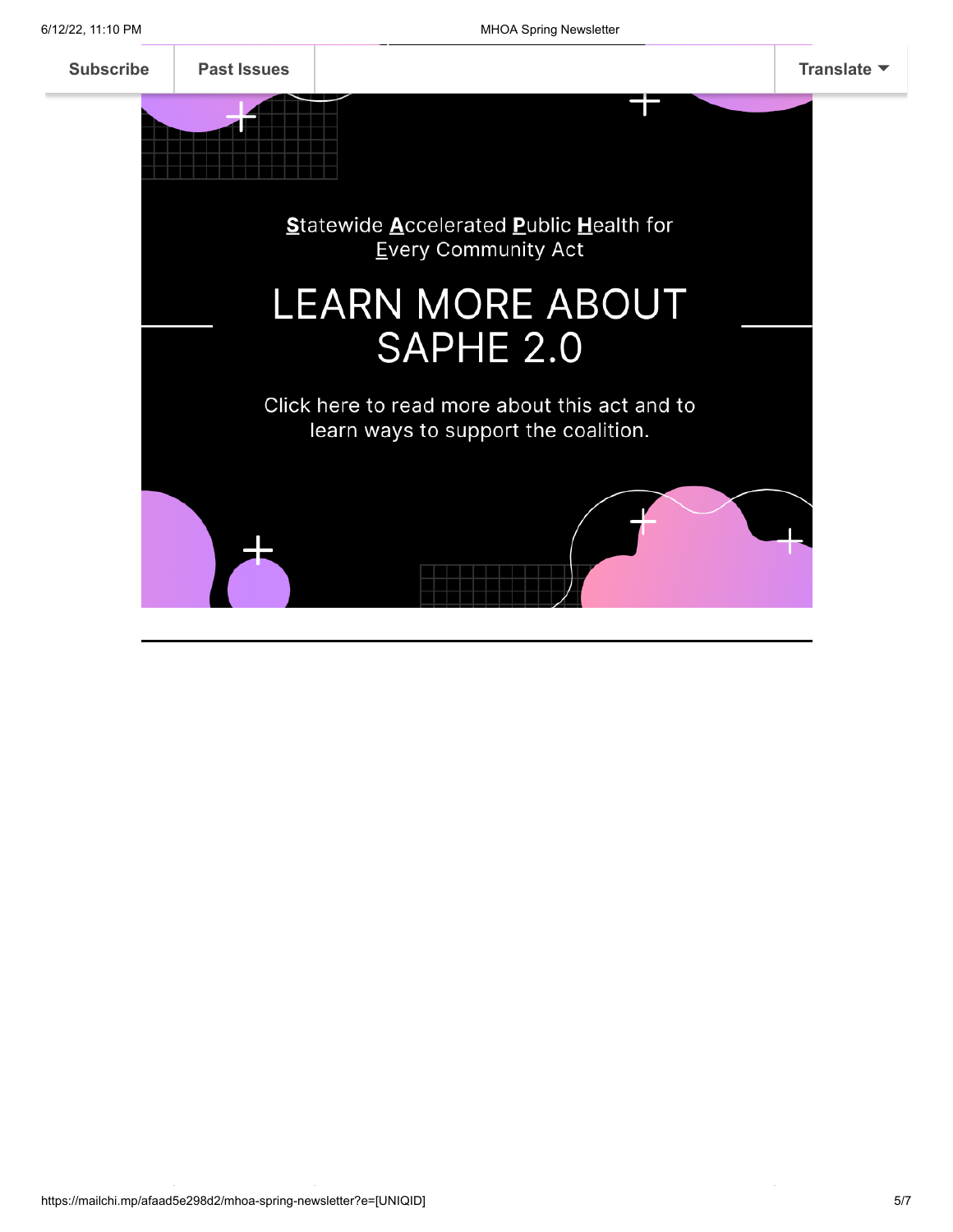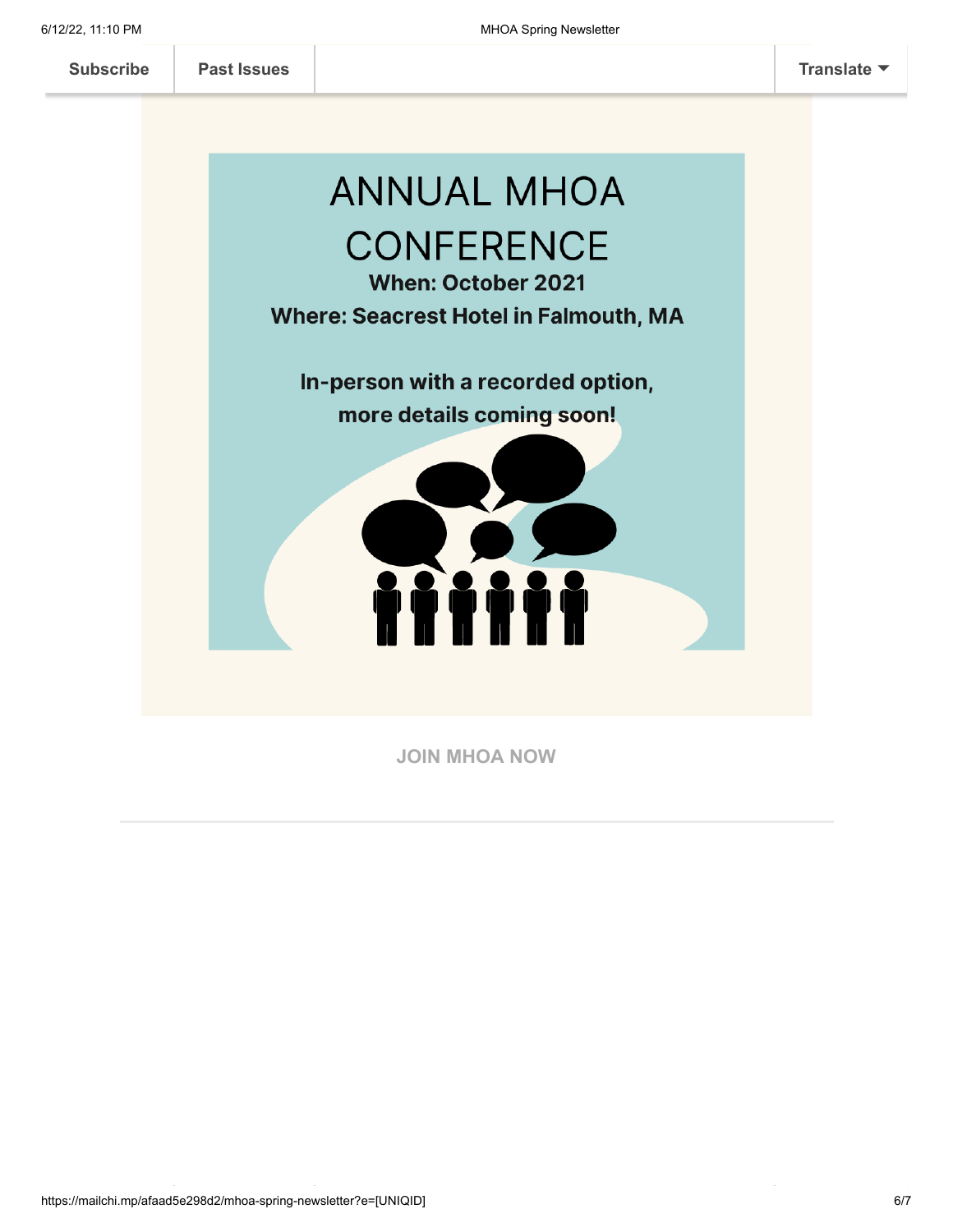

**[JOIN MHOA NOW](https://mhoa.com/mhoa-online-application/)**